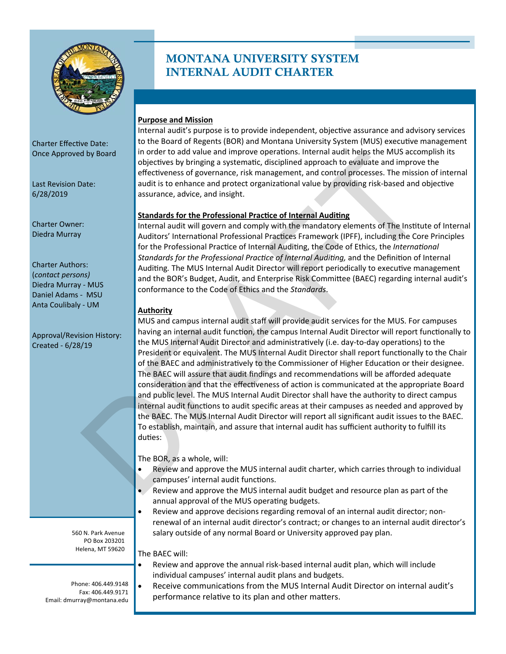

**Charter Owner:** 

Anta Coulibaly ‐ UM **Authority** 

PO Box 203201

## INTERNAL AUDIT CHARTER MONTANA UNIVERSITY SYSTEM

#### **Purpose and Mission**

Internal audit's purpose is to provide independent, objective assurance and advisory services Charter Effective Date: **Charter Effective Date:**  $\|$  to the Board of Regents (BOR) and Montana University System (MUS) executive management Once Approved by Board **in order to add value and improve operations**. Internal audit helps the MUS accomplish its objectives by bringing a systematic, disciplined approach to evaluate and improve the effectiveness of governance, risk management, and control processes. The mission of internal Last Revision Date: audit is to enhance and protect organizational value by providing risk-based and objective 6/28/2019 assurance, advice, and insight.

### **Standards for the Professional Practice of Internal Auditing**

Internal audit will govern and comply with the mandatory elements of The Institute of Internal Diedra Murray **Auditors' International Professional Practices Framework (IPFF)**, including the Core Principles for the Professional Practice of Internal Auditing, the Code of Ethics, the *International Standards for the Professional Practice of Internal Auditing, and the Definition of Internal* Charter Authors:<br>
(contact persons)<br>
Diedra Murray - MUS<br>
Daniel Adams - MSU<br>
Daniel Adams - MSU<br>
Conformance to the Code of Ethics and the *Standards*.

MUS and campus internal audit staff will provide audit services for the MUS. For campuses Approval/Revision History: having an internal audit function, the campus Internal Audit Director will report functionally to<br>Created - 6/28/19<br>Created - 6/28/19 President or equivalent. The MUS Internal Audit Director shall report functionally to the Chair of the BAEC and administratively to the Commissioner of Higher Education or their designee. The BAEC will assure that audit findings and recommendations will be afforded adequate consideration and that the effectiveness of action is communicated at the appropriate Board and public level. The MUS Internal Audit Director shall have the authority to direct campus internal audit functions to audit specific areas at their campuses as needed and approved by the BAEC. The MUS Internal Audit Director will report all significant audit issues to the BAEC. To establish, maintain, and assure that internal audit has sufficient authority to fulfill its duties: d by Board<br>
In order to add value and improve operations, internal audit heigs the MNS accompanies<br>
and this center and control process are fluctuated and improve<br>
and it is to enhance and protect organizational value by p

The BOR, as a whole, will:

- Review and approve the MUS internal audit charter, which carries through to individual campuses' internal audit functions.
- Review and approve the MUS internal audit budget and resource plan as part of the annual approval of the MUS operating budgets.
- Review and approve decisions regarding removal of an internal audit director; non‐ renewal of an internal audit director's contract; or changes to an internal audit director's 560 N. Park Avenue salary outside of any normal Board or University approved pay plan.

Helena, MT 59620  $\Big|$  The BAEC will:

- Review and approve the annual risk‐based internal audit plan, which will include individual campuses' internal audit plans and budgets.
- Phone: 406.449.9148 Receive communicaƟons from the MUS Internal Audit Director on internal audit's Email: dmurray@montana.edu | performance relative to its plan and other matters.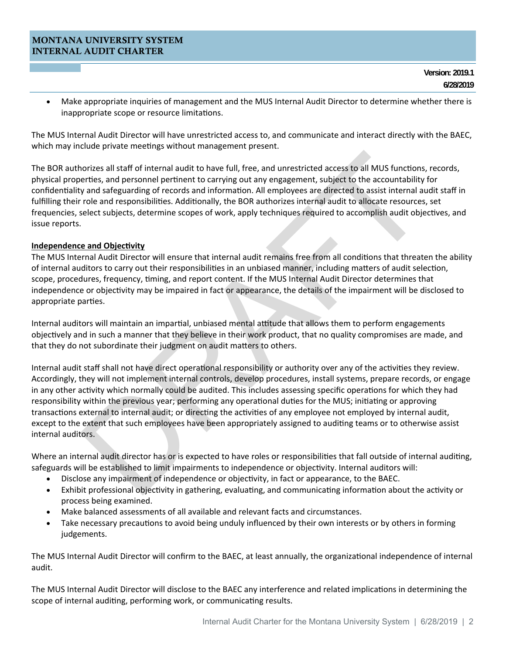#### MONTANA UNIVERSITY SYSTEM INTERNAL AUDIT CHARTER

 Make appropriate inquiries of management and the MUS Internal Audit Director to determine whether there is inappropriate scope or resource limitations.

The MUS Internal Audit Director will have unrestricted access to, and communicate and interact directly with the BAEC, which may include private meetings without management present.

The BOR authorizes all staff of internal audit to have full, free, and unrestricted access to all MUS functions, records, physical properties, and personnel pertinent to carrying out any engagement, subject to the accountability for confidentiality and safeguarding of records and information. All employees are directed to assist internal audit staff in fulfilling their role and responsibilities. Additionally, the BOR authorizes internal audit to allocate resources, set frequencies, select subjects, determine scopes of work, apply techniques required to accomplish audit objectives, and issue reports.

#### **Independence and Objectivity**

independence or objectivity may be impaired in fact or appearance, the details of the impairment will be disclosed to The MUS Internal Audit Director will ensure that internal audit remains free from all conditions that threaten the ability of internal auditors to carry out their responsibilities in an unbiased manner, including matters of audit selection, scope, procedures, frequency, timing, and report content. If the MUS Internal Audit Director determines that appropriate parties.

objectively and in such a manner that they believe in their work product, that no quality compromises are made, and that they do not subordinate their judgment on audit matters to others. Internal auditors will maintain an impartial, unbiased mental attitude that allows them to perform engagements

norizes all staff of internal audit to have full, free, and unrestricted access to all MUS functions, recordings, and personnel pertinent to carrying out any engagement, subject to the accountability for and safety and per Internal audit staff shall not have direct operational responsibility or authority over any of the activities they review. Accordingly, they will not implement internal controls, develop procedures, install systems, prepare records, or engage in any other activity which normally could be audited. This includes assessing specific operations for which they had responsibility within the previous year; performing any operational duties for the MUS; initiating or approving transactions external to internal audit; or directing the activities of any employee not employed by internal audit, except to the extent that such employees have been appropriately assigned to auditing teams or to otherwise assist internal auditors.

Where an internal audit director has or is expected to have roles or responsibilities that fall outside of internal auditing, safeguards will be established to limit impairments to independence or objectivity. Internal auditors will:

- Disclose any impairment of independence or objectivity, in fact or appearance, to the BAEC.
- Exhibit professional objectivity in gathering, evaluating, and communicating information about the activity or process being examined.
- Make balanced assessments of all available and relevant facts and circumstances.
- Take necessary precautions to avoid being unduly influenced by their own interests or by others in forming judgements.

 audit. The MUS Internal Audit Director will confirm to the BAEC, at least annually, the organizational independence of internal

The MUS Internal Audit Director will disclose to the BAEC any interference and related implications in determining the scope of internal auditing, performing work, or communicating results.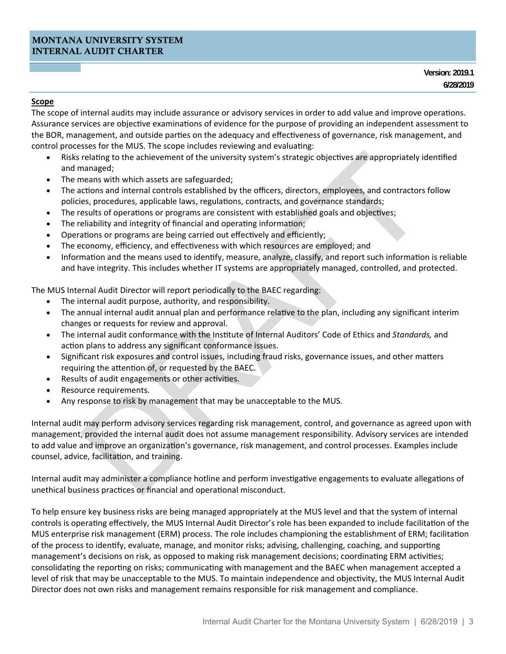#### **Scope**

The scope of internal audits may include assurance or advisory services in order to add value and improve operations. Assurance services are objective examinations of evidence for the purpose of providing an independent assessment to the BOR, management, and outside parties on the adequacy and effectiveness of governance, risk management, and control processes for the MUS. The scope includes reviewing and evaluating:

- Risks relating to the achievement of the university system's strategic objectives are appropriately identified and managed;
- The means with which assets are safeguarded;
- The actions and internal controls established by the officers, directors, employees, and contractors follow policies, procedures, applicable laws, regulations, contracts, and governance standards;
- The results of operations or programs are consistent with established goals and objectives;
- The reliability and integrity of financial and operating information;
- Operations or programs are being carried out effectively and efficiently;
- The economy, efficiency, and effectiveness with which resources are employed; and
- Information and the means used to identify, measure, analyze, classify, and report such information is reliable and have integrity. This includes whether IT systems are appropriately managed, controlled, and protected.

The MUS Internal Audit Director will report periodically to the BAEC regarding:

- The internal audit purpose, authority, and responsibility.
- The annual internal audit annual plan and performance relative to the plan, including any significant interim changes or requests for review and approval.
- The internal audit conformance with the Institute of Internal Auditors' Code of Ethics and *Standards*, and action plans to address any significant conformance issues.
- Significant risk exposures and control issues, including fraud risks, governance issues, and other matters requiring the attention of, or requested by the BAEC.
- Results of audit engagements or other activities.
- Resource requirements.
- Any response to risk by management that may be unacceptable to the MUS.

relating to the achievement of the university system's strategic objectives are appropriately identifiednanged;<br>nanaged;<br>means with which assets are safeguarded;<br>relations and internal controls established by the officers, Internal audit may perform advisory services regarding risk management, control, and governance as agreed upon with management, provided the internal audit does not assume management responsibility. Advisory services are intended to add value and improve an organization's governance, risk management, and control processes. Examples include counsel, advice, facilitation, and training.

Internal audit may administer a compliance hotline and perform investigative engagements to evaluate allegations of unethical business practices or financial and operational misconduct.

 To help ensure key business risks are being managed appropriately at the MUS level and that the system of internal consolidating the reporting on risks; communicating with management and the BAEC when management accepted a level of risk that may be unacceptable to the MUS. To maintain independence and objectivity, the MUS Internal Audit Director does not own risks and management remains responsible for risk management and compliance. controls is operating effectively, the MUS Internal Audit Director's role has been expanded to include facilitation of the MUS enterprise risk management (ERM) process. The role includes championing the establishment of ERM; facilitation of the process to identify, evaluate, manage, and monitor risks; advising, challenging, coaching, and supporting management's decisions on risk, as opposed to making risk management decisions; coordinating ERM activities;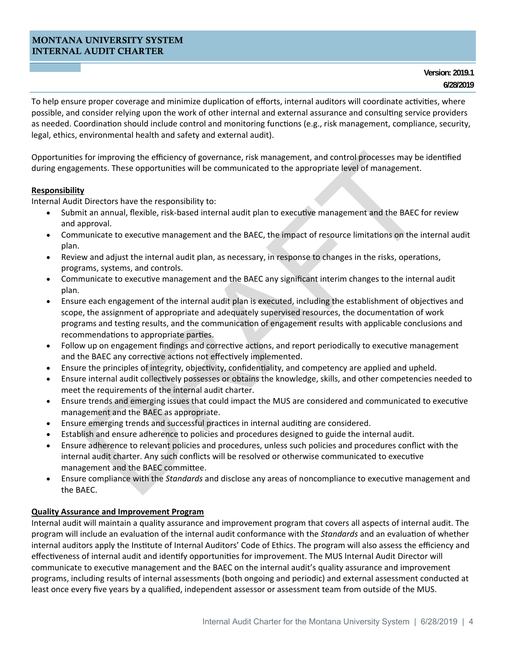#### MONTANA UNIVERSITY SYSTEM INTERNAL AUDIT CHARTER

 legal, ethics, environmental health and safety and external audit). To help ensure proper coverage and minimize duplication of efforts, internal auditors will coordinate activities, where possible, and consider relying upon the work of other internal and external assurance and consulting service providers as needed. Coordination should include control and monitoring functions (e.g., risk management, compliance, security,

Opportunities for improving the efficiency of governance, risk management, and control processes may be identified during engagements. These opportunities will be communicated to the appropriate level of management.

### **Responsibility**

Internal Audit Directors have the responsibility to:

- Submit an annual, flexible, risk-based internal audit plan to executive management and the BAEC for review and approval.
- Communicate to executive management and the BAEC, the impact of resource limitations on the internal audit plan.
- Review and adjust the internal audit plan, as necessary, in response to changes in the risks, operations, programs, systems, and controls.
- Communicate to executive management and the BAEC any significant interim changes to the internal audit plan.
- DRAFT Ensure each engagement of the internal audit plan is executed, including the establishment of objectives and scope, the assignment of appropriate and adequately supervised resources, the documentation of work programs and testing results, and the communication of engagement results with applicable conclusions and recommendations to appropriate parties.
- Follow up on engagement findings and corrective actions, and report periodically to executive management and the BAEC any corrective actions not effectively implemented.
- Ensure the principles of integrity, objectivity, confidentiality, and competency are applied and upheld.
- Ensure internal audit collectively possesses or obtains the knowledge, skills, and other competencies needed to meet the requirements of the internal audit charter.
- Ensure trends and emerging issues that could impact the MUS are considered and communicated to executive management and the BAEC as appropriate.
- Ensure emerging trends and successful practices in internal auditing are considered.
- Establish and ensure adherence to policies and procedures designed to guide the internal audit.
- Ensure adherence to relevant policies and procedures, unless such policies and procedures conflict with the internal audit charter. Any such conflicts will be resolved or otherwise communicated to executive management and the BAEC committee.
- Ensure compliance with the *Standards* and disclose any areas of noncompliance to execuƟve management and the BAEC.

#### **Quality Assurance and Improvement Program**

Internal audit will maintain a quality assurance and improvement program that covers all aspects of internal audit. The program will include an evaluation of the internal audit conformance with the *Standards* and an evaluation of whether internal auditors apply the Institute of Internal Auditors' Code of Ethics. The program will also assess the efficiency and effectiveness of internal audit and identify opportunities for improvement. The MUS Internal Audit Director will communicate to executive management and the BAEC on the internal audit's quality assurance and improvement programs, including results of internal assessments (both ongoing and periodic) and external assessment conducted at least once every five years by a qualified, independent assessor or assessment team from outside of the MUS.